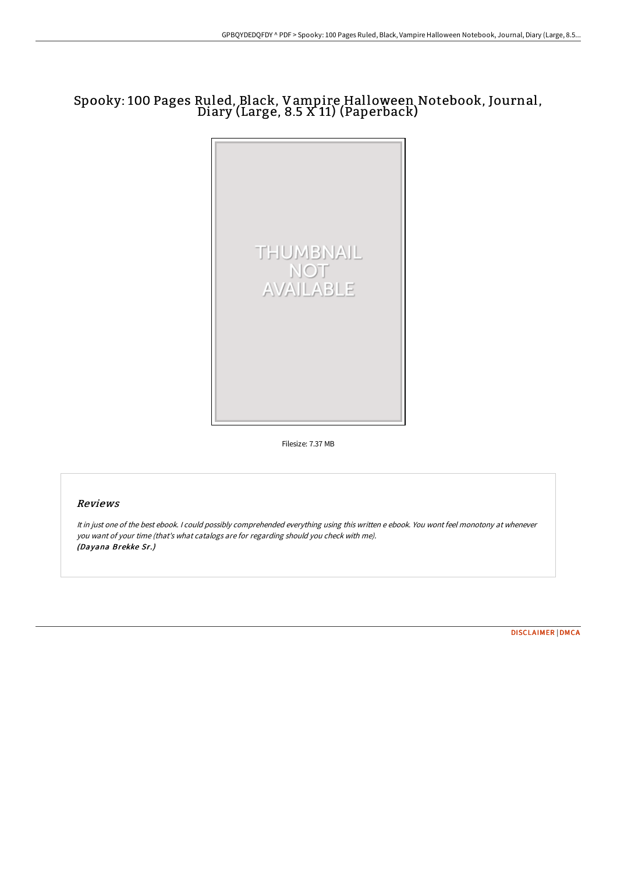# Spooky: 100 Pages Ruled, Black, Vampire Halloween Notebook, Journal, Diary (Large, 8.5 X 11) (Paperback)



Filesize: 7.37 MB

## Reviews

It in just one of the best ebook. <sup>I</sup> could possibly comprehended everything using this written <sup>e</sup> ebook. You wont feel monotony at whenever you want of your time (that's what catalogs are for regarding should you check with me). (Dayana Brekke Sr.)

[DISCLAIMER](http://techno-pub.tech/disclaimer.html) | [DMCA](http://techno-pub.tech/dmca.html)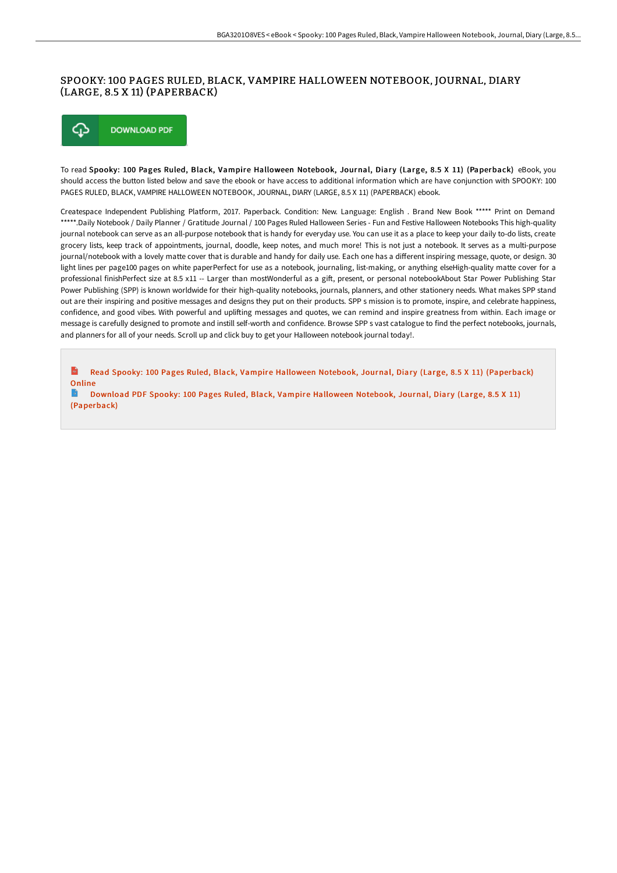## SPOOKY: 100 PAGES RULED, BLACK, VAMPIRE HALLOWEEN NOTEBOOK, JOURNAL, DIARY (LARGE, 8.5 X 11) (PAPERBACK)

#### ⊕ **DOWNLOAD PDF**

To read Spooky: 100 Pages Ruled, Black, Vampire Halloween Notebook, Journal, Diary (Large, 8.5 X 11) (Paperback) eBook, you should access the button listed below and save the ebook or have access to additional information which are have conjunction with SPOOKY: 100 PAGES RULED, BLACK, VAMPIRE HALLOWEEN NOTEBOOK, JOURNAL, DIARY (LARGE, 8.5 X 11) (PAPERBACK) ebook.

Createspace Independent Publishing Platform, 2017. Paperback. Condition: New. Language: English . Brand New Book \*\*\*\*\* Print on Demand \*\*\*\*\*.Daily Notebook / Daily Planner / Gratitude Journal / 100 Pages Ruled Halloween Series - Fun and Festive Halloween Notebooks This high-quality journal notebook can serve as an all-purpose notebook that is handy for everyday use. You can use it as a place to keep your daily to-do lists, create grocery lists, keep track of appointments, journal, doodle, keep notes, and much more! This is not just a notebook. It serves as a multi-purpose journal/notebook with a lovely matte cover that is durable and handy for daily use. Each one has a different inspiring message, quote, or design. 30 light lines per page100 pages on white paperPerfect for use as a notebook, journaling, list-making, or anything elseHigh-quality matte cover for a professional finishPerfect size at 8.5 x11 -- Larger than mostWonderful as a gift, present, or personal notebookAbout Star Power Publishing Star Power Publishing (SPP) is known worldwide for their high-quality notebooks, journals, planners, and other stationery needs. What makes SPP stand out are their inspiring and positive messages and designs they put on their products. SPP s mission is to promote, inspire, and celebrate happiness, confidence, and good vibes. With powerful and uplifting messages and quotes, we can remind and inspire greatness from within. Each image or message is carefully designed to promote and instill self-worth and confidence. Browse SPP s vast catalogue to find the perfect notebooks, journals, and planners for all of your needs. Scroll up and click buy to get your Halloween notebook journal today!.

 $\mathbf{m}$ Read Spooky: 100 Pages Ruled, Black, Vampire Halloween Notebook, Journal, Diary (Large, 8.5 X 11) [\(Paperback\)](http://techno-pub.tech/spooky-100-pages-ruled-black-vampire-halloween-n.html) **Online** 

Download PDF Spooky: 100 Pages Ruled, Black, Vampire Halloween Notebook, Journal, Diary (Large, 8.5 X 11) [\(Paperback\)](http://techno-pub.tech/spooky-100-pages-ruled-black-vampire-halloween-n.html)